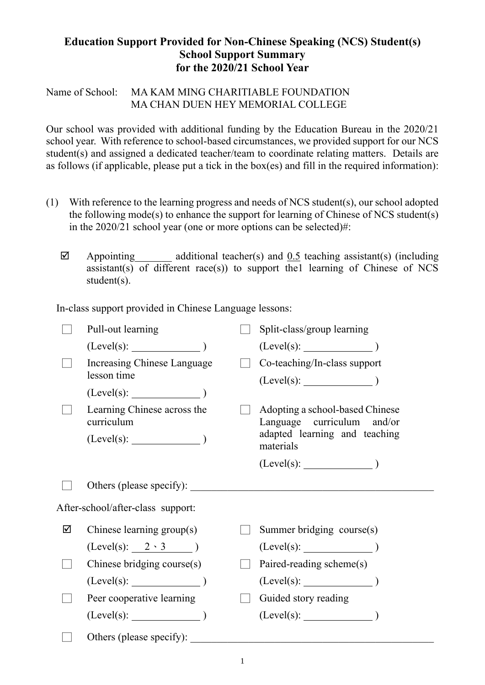## **Education Support Provided for Non-Chinese Speaking (NCS) Student(s) School Support Summary for the 2020/21 School Year**

Name of School: MA KAM MING CHARITIABLE FOUNDATION MA CHAN DUEN HEY MEMORIAL COLLEGE

Our school was provided with additional funding by the Education Bureau in the 2020/21 school year. With reference to school-based circumstances, we provided support for our NCS student(s) and assigned a dedicated teacher/team to coordinate relating matters. Details are as follows (if applicable, please put a tick in the box(es) and fill in the required information):

- (1) With reference to the learning progress and needs of NCS student(s), our school adopted the following mode(s) to enhance the support for learning of Chinese of NCS student(s) in the 2020/21 school year (one or more options can be selected)#:
	- $\boxtimes$  Appointing additional teacher(s) and 0.5 teaching assistant(s) (including assistant(s) of different race(s)) to support the llearning of Chinese of NCS student(s).

In-class support provided in Chinese Language lessons:

|   | Pull-out learning                          | Split-class/group learning                                    |
|---|--------------------------------------------|---------------------------------------------------------------|
|   | (Level(s):                                 |                                                               |
|   | Increasing Chinese Language<br>lesson time | Co-teaching/In-class support                                  |
|   | $(Level(s):$ $)$                           |                                                               |
|   | Learning Chinese across the<br>curriculum  | Adopting a school-based Chinese<br>Language curriculum and/or |
|   | $(Level(s):$ $)$                           | adapted learning and teaching<br>materials                    |
|   |                                            | $(Level(s):$ $)$                                              |
|   | Others (please specify):                   |                                                               |
|   | After-school/after-class support:          |                                                               |
| ☑ | Chinese learning group(s)                  | Summer bridging course(s)                                     |
|   | $(Level(s): 2 \cdot 3)$                    | $(Level(s):$ (Level(s): $)$                                   |
|   | Chinese bridging course(s)                 | Paired-reading scheme(s)                                      |
|   |                                            |                                                               |
|   | Peer cooperative learning                  | Guided story reading                                          |
|   | $(Level(s):$ (Level(s):                    | $(Level(s):$ $)$                                              |
|   | Others (please specify):                   |                                                               |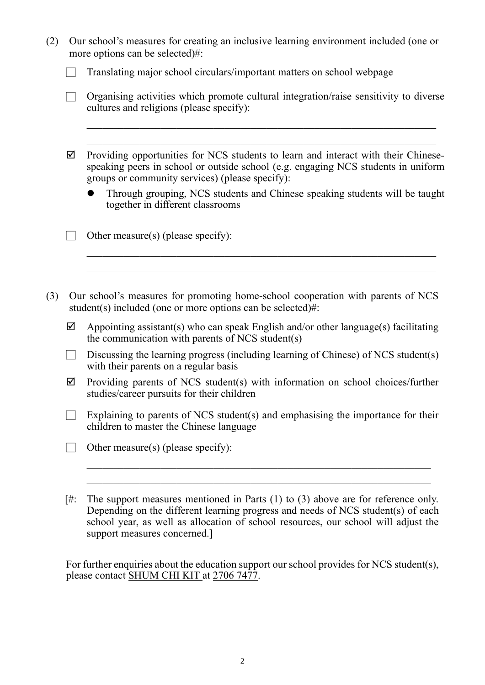| (2) | Our school's measures for creating an inclusive learning environment included (one or<br>more options can be selected)#: |                                                                                                                                                                                                                            |  |  |  |  |
|-----|--------------------------------------------------------------------------------------------------------------------------|----------------------------------------------------------------------------------------------------------------------------------------------------------------------------------------------------------------------------|--|--|--|--|
|     |                                                                                                                          | Translating major school circulars/important matters on school webpage                                                                                                                                                     |  |  |  |  |
|     |                                                                                                                          | Organising activities which promote cultural integration/raise sensitivity to diverse<br>cultures and religions (please specify):                                                                                          |  |  |  |  |
|     | ☑                                                                                                                        | Providing opportunities for NCS students to learn and interact with their Chinese-<br>speaking peers in school or outside school (e.g. engaging NCS students in uniform<br>groups or community services) (please specify): |  |  |  |  |
|     |                                                                                                                          | Through grouping, NCS students and Chinese speaking students will be taught<br>together in different classrooms                                                                                                            |  |  |  |  |
|     |                                                                                                                          | Other measure(s) (please specify):                                                                                                                                                                                         |  |  |  |  |
| (3) |                                                                                                                          | Our school's measures for promoting home-school cooperation with parents of NCS<br>student(s) included (one or more options can be selected)#:                                                                             |  |  |  |  |
|     | ☑                                                                                                                        | Appointing assistant(s) who can speak English and/or other language(s) facilitating<br>the communication with parents of NCS student(s)                                                                                    |  |  |  |  |
|     |                                                                                                                          | Discussing the learning progress (including learning of Chinese) of NCS student(s)<br>with their parents on a regular basis                                                                                                |  |  |  |  |
|     | ☑                                                                                                                        | Providing parents of NCS student(s) with information on school choices/further<br>studies/career pursuits for their children                                                                                               |  |  |  |  |
|     |                                                                                                                          | Explaining to parents of NCS student(s) and emphasising the importance for their<br>children to master the Chinese language                                                                                                |  |  |  |  |
|     |                                                                                                                          | Other measure(s) (please specify):                                                                                                                                                                                         |  |  |  |  |
|     |                                                                                                                          |                                                                                                                                                                                                                            |  |  |  |  |
|     | [#:                                                                                                                      | The support measures mentioned in Parts $(1)$ to $(3)$ above are for reference only.                                                                                                                                       |  |  |  |  |

Depending on the different learning progress and needs of NCS student(s) of each school year, as well as allocation of school resources, our school will adjust the support measures concerned.]

For further enquiries about the education support our school provides for NCS student(s), please contact SHUM CHI KIT at 2706 7477.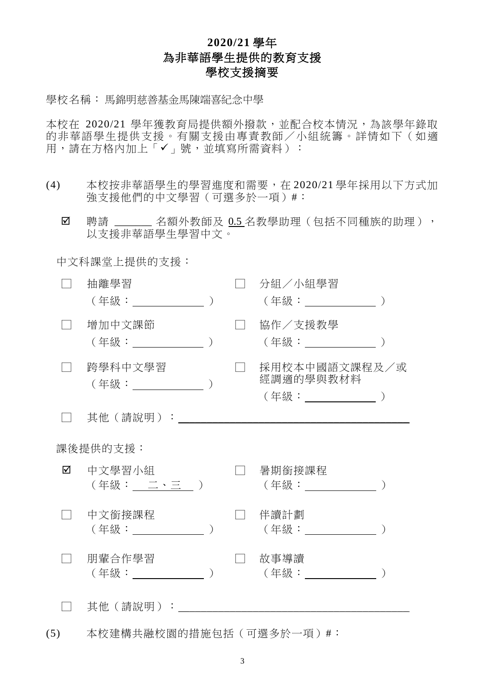## **2020/21** 學年 為非華語學生提供的教育支援 學校支援摘要

學校名稱: 馬錦明慈善基金馬陳端喜紀念中學

本校在 2020/21 學年獲教育局提供額外撥款,並配合校本情況,為該學年錄取 的非華語學生提供支援。有關支援由專責教師/小組統籌。詳情如下(如適 用,請在方格內加上「√」號,並填寫所需資料):

- (4) 本校按非華語學生的學習進度和需要,在 2020/21 學年採用以下方式加 強支援他們的中文學習(可選多於一項)#:
	- ☑ 聘請 \_\_\_\_\_\_ 名額外教師及 0.5 名教學助理(包括不同種族的助理), 以支援非華語學生學習中文。

中文科課堂上提供的支援:

|          | 抽離學習<br>( 年級:                    |  |  | 分組/小組學習<br>(年級:________________)                   |  |  |  |
|----------|----------------------------------|--|--|----------------------------------------------------|--|--|--|
|          | 增加中文課節<br>(年級:______________)    |  |  | 協作/支援教學<br>(年級:____________                        |  |  |  |
|          | 跨學科中文學習<br>(年級: )                |  |  | 採用校本中國語文課程及/或<br>經調適的學與教材料<br>(年級: ______________) |  |  |  |
|          | 其他 ( 請說明 ) :                     |  |  |                                                    |  |  |  |
| 課後提供的支援: |                                  |  |  |                                                    |  |  |  |
| ☑        | 中文學習小組<br>(年級: 二、三 )             |  |  | 暑期銜接課程<br>(年級:______________                       |  |  |  |
|          | 中文銜接課程<br>(年級:__________         |  |  | 伴讀計劃<br>(年級:                                       |  |  |  |
|          | 朋輩合作學習<br>(年級:_________________) |  |  | 故事導讀<br>(年級: ___________                           |  |  |  |
|          | 其他(請說明):                         |  |  |                                                    |  |  |  |

(5) 本校建構共融校園的措施包括(可選多於一項)#︰